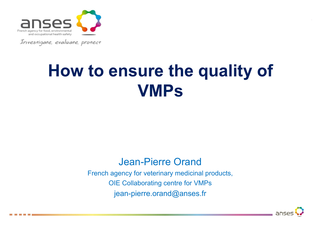

Investigate, evaluate, protect

### **How to ensure the quality of VMPs**

#### Jean-Pierre Orand

French agency for veterinary medicinal products, OIE Collaborating centre for VMPs jean-pierre.orand@anses.fr

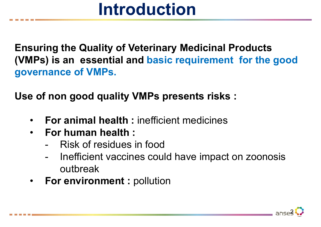### **Introduction**

**Ensuring the Quality of Veterinary Medicinal Products (VMPs) is an essential and basic requirement for the good governance of VMPs.**

**Use of non good quality VMPs presents risks :**

- **For animal health :** inefficient medicines
- **For human health :**
	- -Risk of residues in food
	- - Inefficient vaccines could have impact on zoonosis outbreak
- **For environment :** pollution

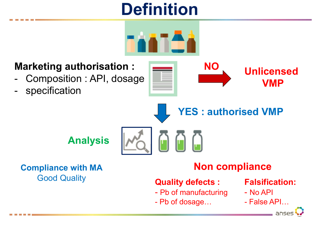### **Definition**



#### **Marketing authorisation :**

- -Composition : API, dosage
- specification



**YES : authorised VMP**

**Analysis**

**Compliance with MA** Good Quality

#### **Non compliance**

#### **Quality defects :**

- Pb of manufacturing
- -Pb of dosage…

#### **Falsification:**

- No API
- False API…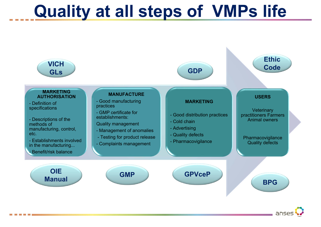### **Quality at all steps of VMPs life**



anse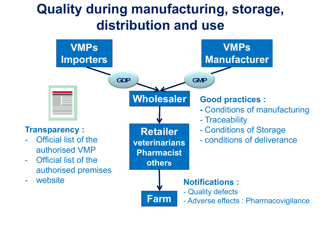### **Quality during manufacturing, storage, distribution and use**

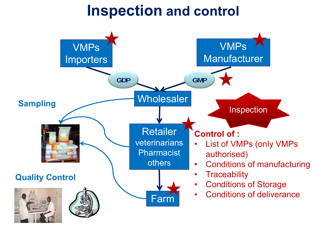### **Inspection and control**

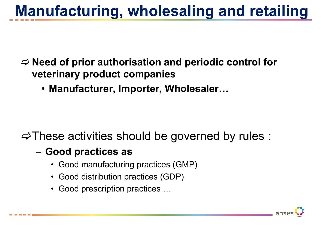### **Manufacturing, wholesaling and retailing**

#### **Need of prior authorisation and periodic control for veterinary product companies**

• **Manufacturer, Importer, Wholesaler…**

#### $\Rightarrow$  These activities should be governed by rules :

#### –**Good practices as**

- Good manufacturing practices (GMP)
- Good distribution practices (GDP)
- Good prescription practices …

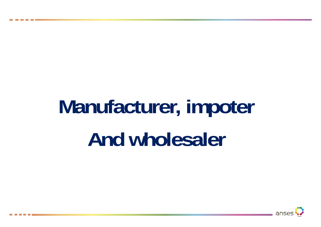# **Manufacturer, impoter And wholesaler**

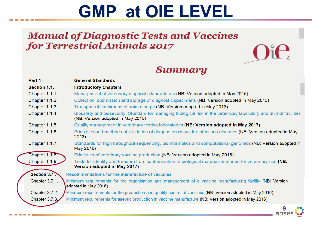## **GMP at OIE LEVEL**

#### **Manual of Diagnostic Tests and Vaccines** for Terrestrial Animals 2017



#### **Summary**

| Part 1                            | <b>General Standards</b>                                                                                                                                 |
|-----------------------------------|----------------------------------------------------------------------------------------------------------------------------------------------------------|
| Section 1.1.                      | <b>Introductory chapters</b>                                                                                                                             |
| Chapter 1.1.1.                    | Management of veterinary diagnostic laboratories (NB: Version adopted in May 2015)                                                                       |
| Chapter 1.1.2.                    | Collection, submission and storage of diagnostic specimens (NB: Version adopted in May 2013)                                                             |
| Chapter 1.1.3.                    | Transport of specimens of animal origin (NB: Version adopted in May 2013)                                                                                |
| Chapter 1.1.4.                    | Biosafety and biosecurity: Standard for managing biological risk in the veterinary laboratory and animal facilities<br>(NB: Version adopted in May 2015) |
| Chapter 1.1.5.                    | Quality management in veterinary testing laboratories (NB: Version adopted in May 2017)                                                                  |
| Chapter 1.1.6.                    | Principles and methods of validation of diagnostic assays for infectious diseases (NB: Version adopted in May<br>2013)                                   |
| Chapter 1.1.7.                    | Standards for high throughput sequencing, bioinformatics and computational genomics (NB: Version adopted in<br>May 2016)                                 |
| <b>Chapter 1.1.8.</b>             | Principles of veterinary vaccine production (NB: Version adopted in May 2015)                                                                            |
| Chapter 1.1.9.                    | Tests for sterility and freedom from contamination of biological materials intended for veterinary use (NB:<br>Version adopted in May 2017)              |
| Section 3.7.                      | Recommendations for the manufacture of vaccines                                                                                                          |
| Chapter 3.7.1.                    | Minimum requirements for the organisation and management of a vaccine manufacturing facility (NB: Version<br>adopted in May 2016)                        |
| Chapter 3.7.2.                    | Minimum requirements for the production and quality control of vaccines (NB: Version adopted in May 2016)                                                |
| Chapter 3.7.3.                    | Minimum requirements for aseptic production in vaccine manufacture (NB: Version adopted in May 2016)                                                     |
| <b>Contract Contract Contract</b> | anses                                                                                                                                                    |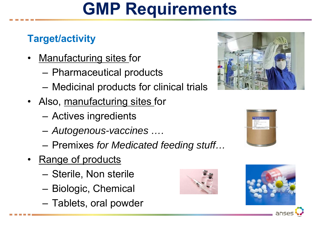### **GMP Requirements**

#### **Target/activity**

- $\bullet$ **Manufacturing sites for** 
	- Pharmaceutical products
	- Medicinal products for clinical trials
- Also, <u>manufacturing sites f</u>or
	- –Actives ingredients
	- *Autogenous-vaccines ….*
	- Charles Constitution Premixes *for Medicated feeding stuff…*
- Range of products
	- Charles Constitution Sterile, Non sterile
	- Biologic, Chemical
	- <del>katalog katalog a</del> Tablets, oral powder









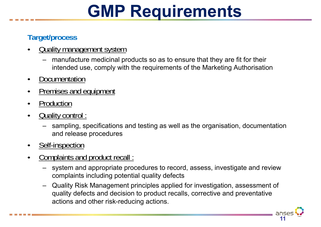## **GMP Requirements**

#### **Target/process**

- •**Quality management system** 
	- manufacture medicinal products so as to ensure that they are fit for their intended use, comply with the requirements of the Marketing Authorisation
- •**Documentation**
- •Premises and equipment
- •Production
- • Quality control :
	- sampling, specifications and testing as well as the organisation, documentation and release procedures
- •Self-inspection
- • Complaints and product recall :
	- system and appropriate procedures to record, assess, investigate and review complaints including potential quality defects
	- Quality Risk Management principles applied for investigation, assessment of quality defects and decision to product recalls, corrective and preventative actions and other risk-reducing actions.

**11**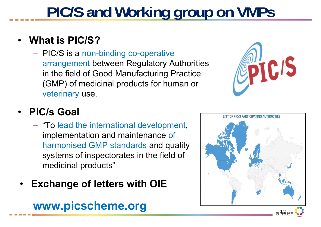## **PIC/S and Working group on VMPs**

#### •**What is PIC/S?**

- PIC/S is a non-binding co-operative arrangement between Regulatory Authorities in the field of Good Manufacturing Practice (GMP) of medicinal products for human or veterinary use.



#### •**PIC/s Goal**

- "To lead the international development, implementation and maintenance of harmonised GMP standards and quality systems of inspectorates in the field of medicinal products"
- •**Exchange of letters with OIE**

#### **www.picscheme.org**

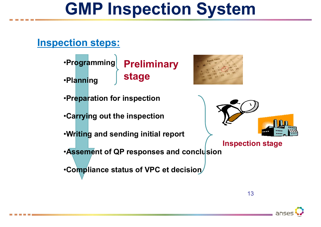### **GMP Inspection System**

#### **Inspection steps:**

•**Programming** •**Planning Preliminary stage**

•**Preparation for inspection**

•**Carrying out the inspection**

•**Writing and sending initial report**

•**Assement of QP responses and conclusion**

•**Compliance status of VPC et decision**



**Inspection stage**

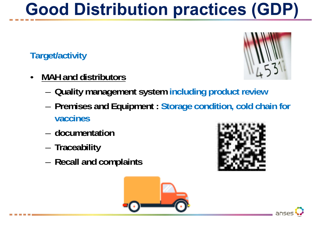## **Good Distribution practices (GDP)**

#### **Target/activity**

- • **MAH and distributors**
	- –**Quality management system including product review**
	- **Premises and Equipment : Storage condition, cold chain for vaccines**
	- **documentation**
	- **Traceability**
	- –<br>– **Recall and complaints**







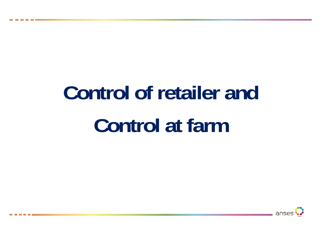# **Control of retailer and Control at farm**

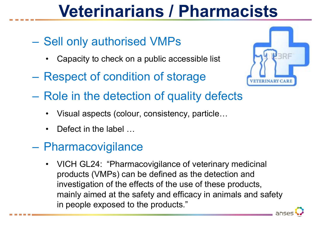### **Veterinarians / Pharmacists**

- **Lating Contract**  Sell only authorised VMPs
	- •Capacity to check on a public accessible list
- **Lating Contract** Respect of condition of storage



- **Lating Contract**  Role in the detection of quality defects
	- •Visual aspects (colour, consistency, particle…
	- •Defect in the label ...
- **Land and Company**  Pharmacovigilance
	- VICH GL24: "Pharmacovigilance of veterinary medicinal products (VMPs) can be defined as the detection and investigation of the effects of the use of these products, mainly aimed at the safety and efficacy in animals and safety in people exposed to the products."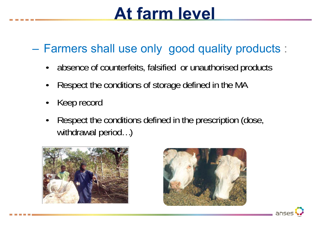### **At farm level**

#### **Lating Contract** Farmers shall use only good quality products :

- absence of counterfeits, falsified or unauthorised products
- •Respect the conditions of storage defined in the MA
- •Keep record
- • Respect the conditions defined in the prescription (dose, withdrawal period...)



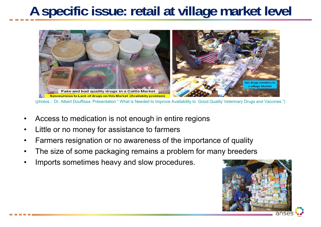### **A specific issue: retail at village market level**



(photos : Dr. Albert Douffissa. Présentation " What is Needed to Improve Availability to Good Quality Veterinary Drugs and Vaccines.")

- •Access to medication is not enough in entire regions
- •Little or no money for assistance to farmers
- •Farmers resignation or no awareness of the importance of quality
- •The size of some packaging remains a problem for many breeders
- •Imports sometimes heavy and slow procedures.

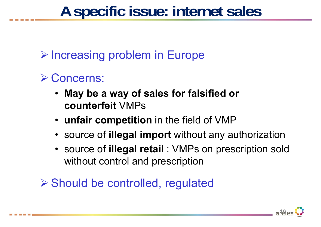### **A specific issue: internet sales**

**▶ Increasing problem in Europe** 

### **≻ Concerns:**

- **May be a way of sales for falsified or counterfeit** VMPs
- **unfair competition** in the field of VMP
- source of **illegal import** without any authorization
- source of **illegal retail** : VMPs on prescription sold without control and prescription

Should be controlled, regulated

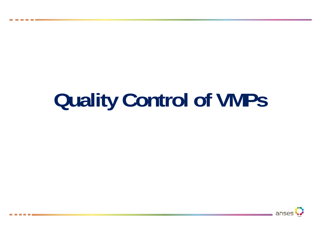# **Quality Control of VMPs**

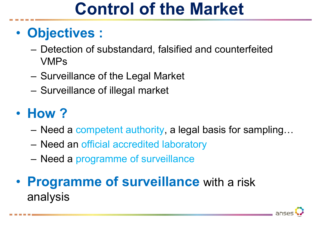### **Control of the Market**

#### $\bullet$ **Objectives :**

- – Detection of substandard, falsified and counterfeited VMPs
- –Surveillance of the Legal Market
- Surveillance of illegal market

#### $\bullet$ **How ?**

- –Need a competent authority, a legal basis for sampling…
- Need an official accredited laboratory
- Need a programme of surveillance

#### • **Programme of surveillance** with a risk analysis

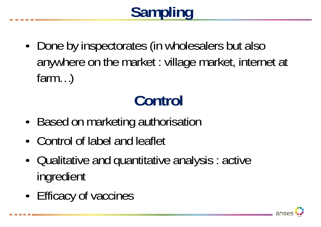## **Sampling**

• Done by inspectorates (in wholesalers but also anywhere on the market : village market, internet at farm…)

## **Control**

- •Based on marketing authorisation
- •Control of label and leaflet
- • Qualitative and quantitative analysis : active ingredient
- •Efficacy of vaccines

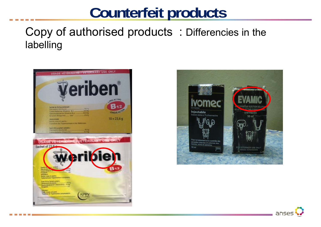### **Counterfeit products**

#### Copy of authorised products : Differencies in the labelling



**Property Committee State** 



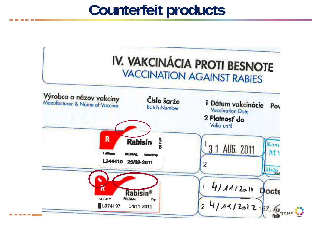### **Counterfeit products**

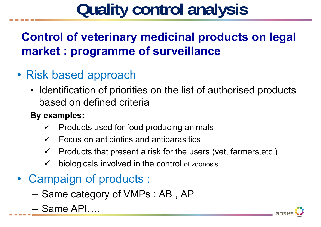### **Control of veterinary medicinal products on legal market : programme of surveillance**

- Risk based approach
	- Identification of priorities on the list of authorised products based on defined criteria
	- **By examples:**
		- $\checkmark$ Products used for food producing animals
		- $\checkmark$  Focus on antibiotics and antiparasitics
		- $\checkmark$ Products that present a risk for the users (vet, farmers,etc.)
		- $\checkmark$ biologicals involved in the control of zoonosis
- Campaign of products :
	- <del>katalog katalog a</del> Same category of VMPs : AB , AP
	- Same API….

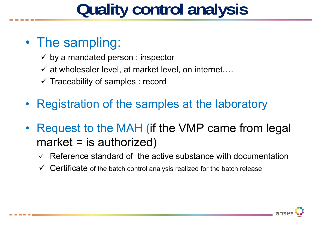#### $\bullet$ The sampling:

- $\checkmark$  by a mandated person : inspector
- $\checkmark$  at wholesaler level, at market level, on internet....
- $\checkmark$  Traceability of samples : record
- •Registration of the samples at the laboratory
- • Request to the MAH (if the VMP came from legal  $market = is authorized)$ 
	- $\checkmark$  Reference standard of the active substance with documentation
	- $\checkmark$  Certificate of the batch control analysis realized for the batch release

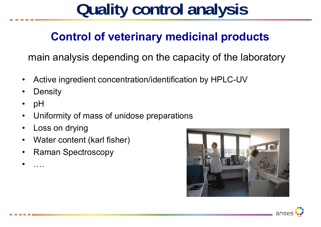#### **Control of veterinary medicinal products**

main analysis depending on the capacity of the laboratory

- •Active ingredient concentration/identification by HPLC-UV
- •**Density**
- •pH
- •Uniformity of mass of unidose preparations
- •Loss on drying
- •Water content (karl fisher)
- •Raman Spectroscopy
- •….

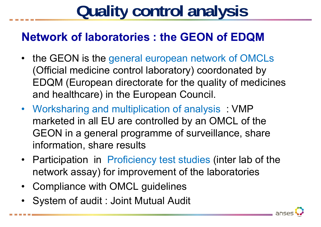#### **Network of laboratories : the GEON of EDQM**

- the GEON is the general european network of OMCLs (Official medicine control laboratory) coordonated by EDQM (European directorate for the quality of medicines and healthcare) in the European Council.
- Worksharing and multiplication of analysis : VMP marketed in all EU are controlled by an OMCL of the GEON in a general programme of surveillance, share information, share results
- Participation in Proficiency test studies (inter lab of the network assay) for improvement of the laboratories
- Compliance with OMCL guidelines
- System of audit : Joint Mutual Audit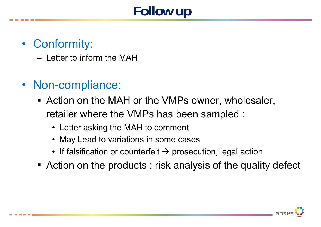### **Follow up**

#### • Conformity:

– Letter to inform the MAH

- Non-compliance:
	- Action on the MAH or the VMPs owner, wholesaler, retailer where the VMPs has been sampled :
		- Letter asking the MAH to comment
		- May Lead to variations in some cases
		- If falsification or counterfeit  $\boldsymbol{\rightarrow}$  prosecution, legal action
	- Action on the products : risk analysis of the quality defect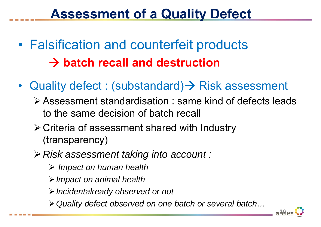### **Assessment of a Quality Defect**

- • Falsification and counterfeit products **batch recall and destruction**
- Quality defect : (substandard)→ Risk assessment
	- Assessment standardisation : same kind of defects leads to the same decision of batch recall
	- Criteria of assessment shared with Industry (transparency)
	- *Risk assessment taking into account :*
		- *Impact on human health*
		- *Impact on animal health*
		- *Incidentalready observed or not*
		- *Quality defect observed on one batch or several batch…*

**30**